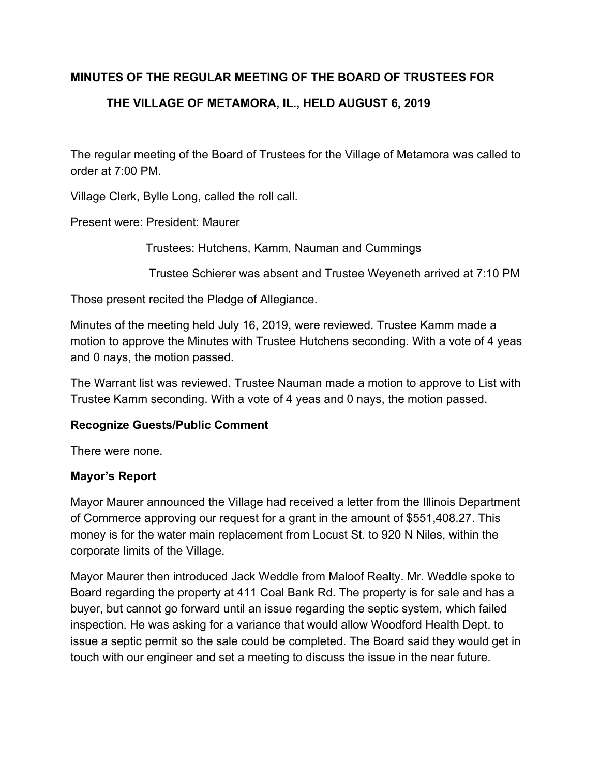## **MINUTES OF THE REGULAR MEETING OF THE BOARD OF TRUSTEES FOR**

# **THE VILLAGE OF METAMORA, IL., HELD AUGUST 6, 2019**

The regular meeting of the Board of Trustees for the Village of Metamora was called to order at 7:00 PM.

Village Clerk, Bylle Long, called the roll call.

Present were: President: Maurer

Trustees: Hutchens, Kamm, Nauman and Cummings

Trustee Schierer was absent and Trustee Weyeneth arrived at 7:10 PM

Those present recited the Pledge of Allegiance.

Minutes of the meeting held July 16, 2019, were reviewed. Trustee Kamm made a motion to approve the Minutes with Trustee Hutchens seconding. With a vote of 4 yeas and 0 nays, the motion passed.

The Warrant list was reviewed. Trustee Nauman made a motion to approve to List with Trustee Kamm seconding. With a vote of 4 yeas and 0 nays, the motion passed.

### **Recognize Guests/Public Comment**

There were none.

## **Mayor's Report**

Mayor Maurer announced the Village had received a letter from the Illinois Department of Commerce approving our request for a grant in the amount of \$551,408.27. This money is for the water main replacement from Locust St. to 920 N Niles, within the corporate limits of the Village.

Mayor Maurer then introduced Jack Weddle from Maloof Realty. Mr. Weddle spoke to Board regarding the property at 411 Coal Bank Rd. The property is for sale and has a buyer, but cannot go forward until an issue regarding the septic system, which failed inspection. He was asking for a variance that would allow Woodford Health Dept. to issue a septic permit so the sale could be completed. The Board said they would get in touch with our engineer and set a meeting to discuss the issue in the near future.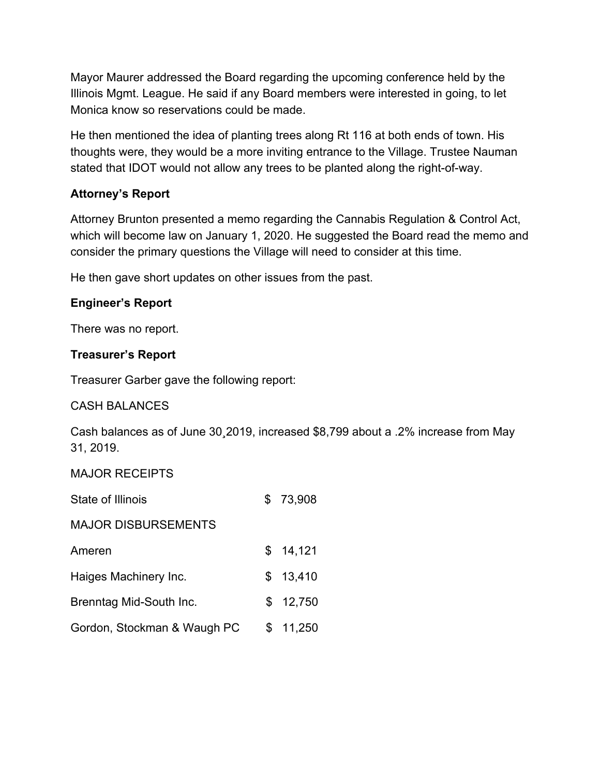Mayor Maurer addressed the Board regarding the upcoming conference held by the Illinois Mgmt. League. He said if any Board members were interested in going, to let Monica know so reservations could be made.

He then mentioned the idea of planting trees along Rt 116 at both ends of town. His thoughts were, they would be a more inviting entrance to the Village. Trustee Nauman stated that IDOT would not allow any trees to be planted along the right-of-way.

# **Attorney's Report**

Attorney Brunton presented a memo regarding the Cannabis Regulation & Control Act, which will become law on January 1, 2020. He suggested the Board read the memo and consider the primary questions the Village will need to consider at this time.

He then gave short updates on other issues from the past.

# **Engineer's Report**

There was no report.

# **Treasurer's Report**

Treasurer Garber gave the following report:

# CASH BALANCES

Cash balances as of June 30¸2019, increased \$8,799 about a .2% increase from May 31, 2019.

## MAJOR RECEIPTS

| State of Illinois           |     | 73,908   |
|-----------------------------|-----|----------|
| <b>MAJOR DISBURSEMENTS</b>  |     |          |
| Ameren                      |     | \$14,121 |
| Haiges Machinery Inc.       | \$. | 13,410   |
| Brenntag Mid-South Inc.     | \$. | 12,750   |
| Gordon, Stockman & Waugh PC | \$  | 11,250   |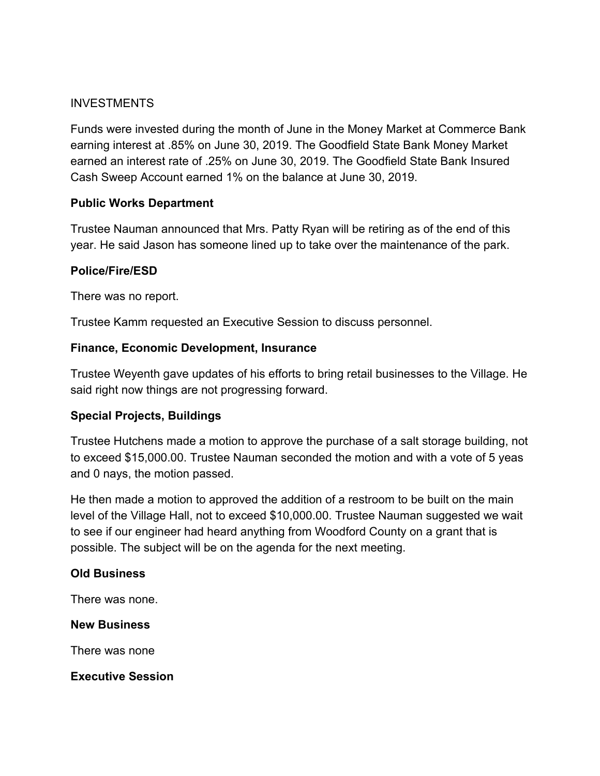### INVESTMENTS

Funds were invested during the month of June in the Money Market at Commerce Bank earning interest at .85% on June 30, 2019. The Goodfield State Bank Money Market earned an interest rate of .25% on June 30, 2019. The Goodfield State Bank Insured Cash Sweep Account earned 1% on the balance at June 30, 2019.

### **Public Works Department**

Trustee Nauman announced that Mrs. Patty Ryan will be retiring as of the end of this year. He said Jason has someone lined up to take over the maintenance of the park.

### **Police/Fire/ESD**

There was no report.

Trustee Kamm requested an Executive Session to discuss personnel.

### **Finance, Economic Development, Insurance**

Trustee Weyenth gave updates of his efforts to bring retail businesses to the Village. He said right now things are not progressing forward.

### **Special Projects, Buildings**

Trustee Hutchens made a motion to approve the purchase of a salt storage building, not to exceed \$15,000.00. Trustee Nauman seconded the motion and with a vote of 5 yeas and 0 nays, the motion passed.

He then made a motion to approved the addition of a restroom to be built on the main level of the Village Hall, not to exceed \$10,000.00. Trustee Nauman suggested we wait to see if our engineer had heard anything from Woodford County on a grant that is possible. The subject will be on the agenda for the next meeting.

## **Old Business**

There was none.

### **New Business**

There was none

**Executive Session**